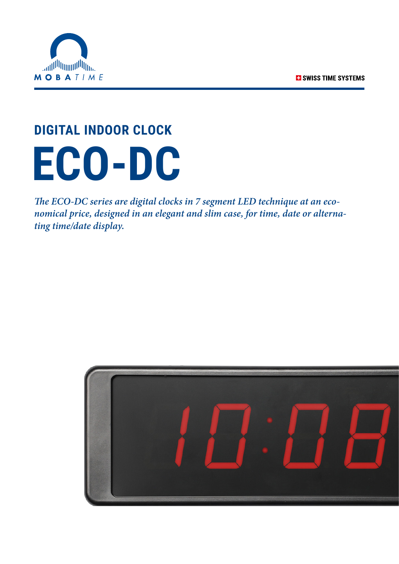

## **DIGITAL INDOOR CLOCK ECO-DC**

*The ECO-DC series are digital clocks in 7 segment LED technique at an economical price, designed in an elegant and slim case, for time, date or alternating time/date display.*

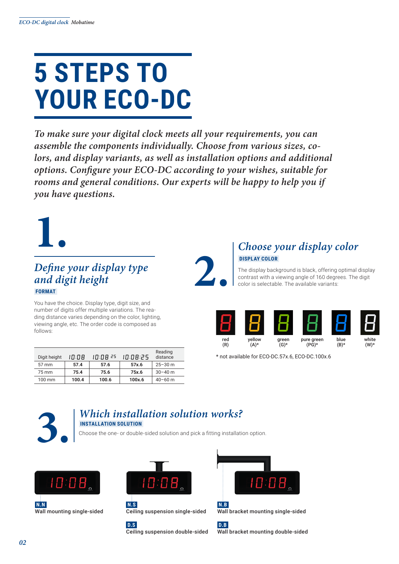## **5 STEPS TO YOUR ECO-DC**

*To make sure your digital clock meets all your requirements, you can assemble the components individually. Choose from various sizes, colors, and display variants, as well as installation options and additional options. Configure your ECO-DC according to your wishes, suitable for rooms and general conditions. Our experts will be happy to help you if you have questions.*



#### *Define your display type and digit height*  **FORMAT**

You have the choice. Display type, digit size, and number of digits offer multiple variations. The reading distance varies depending on the color, lighting, viewing angle, etc. The order code is composed as follows:

| Digit height     | 10:08 | 10:08 25 | 10:08:25 | Reading<br>distance |
|------------------|-------|----------|----------|---------------------|
| $57 \text{ mm}$  | 57.4  | 57.6     | 57x.6    | $25 - 30$ m         |
| 75 mm            | 75.4  | 75.6     | 75x.6    | $30 - 40$ m         |
| $100 \text{ mm}$ | 100.4 | 100.6    | 100x.6   | $40 - 60$ m         |



The display background is black, offering optimal display contrast with a viewing angle of 160 degrees. The digit color is selectable. The available variants:



\* not available for ECO-DC.57x.6, ECO-DC.100x.6



### **3.** *Which installation solution works?*

#### **INSTALLATION SOLUTION**

Choose the one- or double-sided solution and pick a fitting installation option.















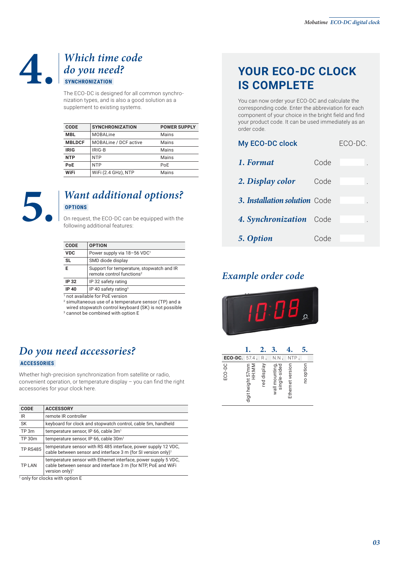#### **4.** *Which time code do you need?*  **SYNCHRONIZATION**

The ECO-DC is designed for all common synchronization types, and is also a good solution as a supplement to existing systems.

| CODE          | <b>SYNCHRONIZATION</b>       | <b>POWER SUPPLY</b> |
|---------------|------------------------------|---------------------|
| <b>MBL</b>    | <b>MOBALine</b>              | Mains               |
| <b>MBLDCF</b> | <b>MOBALine / DCF active</b> | Mains               |
| <b>IRIG</b>   | IRIG-B                       | Mains               |
| <b>NTP</b>    | <b>NTP</b>                   | Mains               |
| PoE           | <b>NTP</b>                   | PoE                 |
| WiFi          | WiFi (2.4 GHz), NTP          | Mains               |



#### **5.** *Want additional options?*  **OPTIONS**

On request, the ECO-DC can be equipped with the following additional features:

| Power supply via 18-56 VDC <sup>1</sup>                                            |
|------------------------------------------------------------------------------------|
| SMD diode display                                                                  |
| Support for temperature, stopwatch and IR<br>remote control functions <sup>2</sup> |
| IP 32 safety rating                                                                |
| IP 40 safety rating <sup>3</sup>                                                   |
| $\cdots$ $\cdots$ $\cdots$                                                         |

1 not available for PoE version

2 simultaneous use of a temperature sensor (TP) and a

wired stopwatch control keyboard (SK) is not possible 3 cannot be combined with option E

*Do you need accessories?*  **ACCESSORIES** 

Whether high-precision synchronization from satellite or radio, convenient operation, or temperature display – you can find the right accessories for your clock here.

| <b>CODE</b>     | <b>ACCESSORY</b>                                                                                                                                               |
|-----------------|----------------------------------------------------------------------------------------------------------------------------------------------------------------|
| IR              | remote IR controller                                                                                                                                           |
| <b>SK</b>       | keyboard for clock and stopwatch control, cable 5m, handheld                                                                                                   |
| TP 3m           | temperature sensor, IP 66, cable 3m <sup>1</sup>                                                                                                               |
| TP 30m          | temperature sensor, IP 66, cable 30m <sup>1</sup>                                                                                                              |
| <b>TP RS485</b> | temperature sensor with RS 485 interface, power supply 12 VDC.<br>cable between sensor and interface 3 m (for SI version only) <sup>1</sup>                    |
| <b>TP LAN</b>   | temperature sensor with Ethernet interface, power supply 5 VDC,<br>cable between sensor and interface 3 m (for NTP, PoE and WiFi<br>version only) <sup>1</sup> |

1 only for clocks with option E

## **YOUR ECO-DC CLOCK IS COMPLETE**

You can now order your ECO-DC and calculate the corresponding code. Enter the abbreviation for each component of your choice in the bright field and find your product code. It can be used immediately as an order code.

| My ECO-DC clock               | ECO-DC. |  |  |
|-------------------------------|---------|--|--|
| 1. Format                     | Code    |  |  |
| 2. Display color              | Code    |  |  |
| 3. Installation solution Code |         |  |  |
| 4. Synchronization Code       |         |  |  |
| 5. Option                     | Code    |  |  |

#### *Example order code*



|         |                            |             | 3                              |                  |           |
|---------|----------------------------|-------------|--------------------------------|------------------|-----------|
| ECO-DC. | 57.4.                      | R.          | N.N.                           | <b>NTP</b>       |           |
| ECO-DC  | digit height 57mm<br>HH:MM | red display | wall mounting,<br>single-sided | Ethernet version | no option |